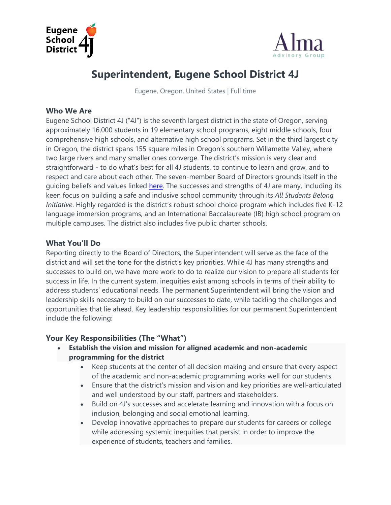



# **Superintendent, Eugene School District 4J**

Eugene, Oregon, United States | Full time

#### **Who We Are**

Eugene School District 4J ("4J") is the seventh largest district in the state of Oregon, serving approximately 16,000 students in 19 elementary school programs, eight middle schools, four comprehensive high schools, and alternative high school programs. Set in the third largest city in Oregon, the district spans 155 square miles in Oregon's southern Willamette Valley, where two large rivers and many smaller ones converge. The district's mission is very clear and straightforward - to do what's best for all 4J students, to continue to learn and grow, and to respect and care about each other. The seven-member Board of Directors grounds itself in the guiding beliefs and values linked [here.](https://www.4j.lane.edu/wp-content/uploads/2021/05/4J_Board_BeliefsAndValues_Rev2021.pdf) The successes and strengths of 4J are many, including its keen focus on building a safe and inclusive school community through its *All Students Belong Initiative*. Highly regarded is the district's robust school choice program which includes five K-12 language immersion programs, and an International Baccalaureate (IB) high school program on multiple campuses. The district also includes five public charter schools.

## **What You'll Do**

Reporting directly to the Board of Directors, the Superintendent will serve as the face of the district and will set the tone for the district's key priorities. While 4J has many strengths and successes to build on, we have more work to do to realize our vision to prepare all students for success in life. In the current system, inequities exist among schools in terms of their ability to address students' educational needs. The permanent Superintendent will bring the vision and leadership skills necessary to build on our successes to date, while tackling the challenges and opportunities that lie ahead. Key leadership responsibilities for our permanent Superintendent include the following:

#### **Your Key Responsibilities (The "What")**

- **Establish the vision and mission for aligned academic and non-academic programming for the district**
	- Keep students at the center of all decision making and ensure that every aspect of the academic and non-academic programming works well for our students.
	- Ensure that the district's mission and vision and key priorities are well-articulated and well understood by our staff, partners and stakeholders.
	- Build on 4J's successes and accelerate learning and innovation with a focus on inclusion, belonging and social emotional learning.
	- Develop innovative approaches to prepare our students for careers or college while addressing systemic inequities that persist in order to improve the experience of students, teachers and families.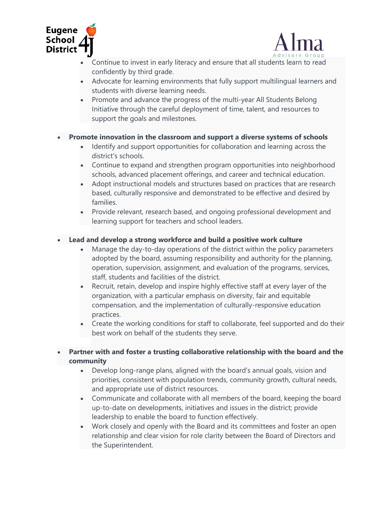



- Continue to invest in early literacy and ensure that all students learn to read confidently by third grade.
- Advocate for learning environments that fully support multilingual learners and students with diverse learning needs.
- Promote and advance the progress of the multi-year All Students Belong Initiative through the careful deployment of time, talent, and resources to support the goals and milestones.

#### • **Promote innovation in the classroom and support a diverse systems of schools**

- Identify and support opportunities for collaboration and learning across the district's schools.
- Continue to expand and strengthen program opportunities into neighborhood schools, advanced placement offerings, and career and technical education.
- Adopt instructional models and structures based on practices that are research based, culturally responsive and demonstrated to be effective and desired by families.
- Provide relevant, research based, and ongoing professional development and learning support for teachers and school leaders.

#### • **Lead and develop a strong workforce and build a positive work culture**

- Manage the day-to-day operations of the district within the policy parameters adopted by the board, assuming responsibility and authority for the planning, operation, supervision, assignment, and evaluation of the programs, services, staff, students and facilities of the district.
- Recruit, retain, develop and inspire highly effective staff at every layer of the organization, with a particular emphasis on diversity, fair and equitable compensation, and the implementation of culturally-responsive education practices.
- Create the working conditions for staff to collaborate, feel supported and do their best work on behalf of the students they serve.

• **Partner with and foster a trusting collaborative relationship with the board and the community**

- Develop long-range plans, aligned with the board's annual goals, vision and priorities, consistent with population trends, community growth, cultural needs, and appropriate use of district resources.
- Communicate and collaborate with all members of the board, keeping the board up-to-date on developments, initiatives and issues in the district; provide leadership to enable the board to function effectively.
- Work closely and openly with the Board and its committees and foster an open relationship and clear vision for role clarity between the Board of Directors and the Superintendent.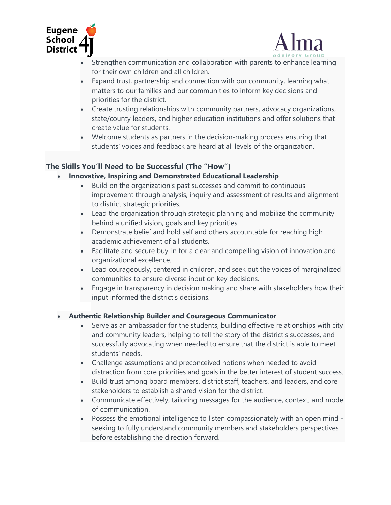



- Strengthen communication and collaboration with parents to enhance learning for their own children and all children.
- Expand trust, partnership and connection with our community, learning what matters to our families and our communities to inform key decisions and priorities for the district.
- Create trusting relationships with community partners, advocacy organizations, state/county leaders, and higher education institutions and offer solutions that create value for students.
- Welcome students as partners in the decision-making process ensuring that students' voices and feedback are heard at all levels of the organization.

#### **The Skills You'll Need to be Successful (The "How")**

- **Innovative, Inspiring and Demonstrated Educational Leadership**
	- Build on the organization's past successes and commit to continuous improvement through analysis, inquiry and assessment of results and alignment to district strategic priorities.
	- Lead the organization through strategic planning and mobilize the community behind a unified vision, goals and key priorities.
	- Demonstrate belief and hold self and others accountable for reaching high academic achievement of all students.
	- Facilitate and secure buy-in for a clear and compelling vision of innovation and organizational excellence.
	- Lead courageously, centered in children, and seek out the voices of marginalized communities to ensure diverse input on key decisions.
	- Engage in transparency in decision making and share with stakeholders how their input informed the district's decisions.

#### • **Authentic Relationship Builder and Courageous Communicator**

- Serve as an ambassador for the students, building effective relationships with city and community leaders, helping to tell the story of the district's successes, and successfully advocating when needed to ensure that the district is able to meet students' needs.
- Challenge assumptions and preconceived notions when needed to avoid distraction from core priorities and goals in the better interest of student success.
- Build trust among board members, district staff, teachers, and leaders, and core stakeholders to establish a shared vision for the district.
- Communicate effectively, tailoring messages for the audience, context, and mode of communication.
- Possess the emotional intelligence to listen compassionately with an open mind seeking to fully understand community members and stakeholders perspectives before establishing the direction forward.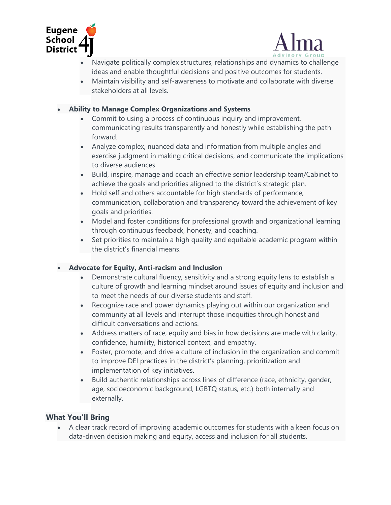



- Navigate politically complex structures, relationships and dynamics to challenge ideas and enable thoughtful decisions and positive outcomes for students.
- Maintain visibility and self-awareness to motivate and collaborate with diverse stakeholders at all levels.

#### • **Ability to Manage Complex Organizations and Systems**

- Commit to using a process of continuous inquiry and improvement, communicating results transparently and honestly while establishing the path forward.
- Analyze complex, nuanced data and information from multiple angles and exercise judgment in making critical decisions, and communicate the implications to diverse audiences.
- Build, inspire, manage and coach an effective senior leadership team/Cabinet to achieve the goals and priorities aligned to the district's strategic plan.
- Hold self and others accountable for high standards of performance, communication, collaboration and transparency toward the achievement of key goals and priorities.
- Model and foster conditions for professional growth and organizational learning through continuous feedback, honesty, and coaching.
- Set priorities to maintain a high quality and equitable academic program within the district's financial means.

## • **Advocate for Equity, Anti-racism and Inclusion**

- Demonstrate cultural fluency, sensitivity and a strong equity lens to establish a culture of growth and learning mindset around issues of equity and inclusion and to meet the needs of our diverse students and staff.
- Recognize race and power dynamics playing out within our organization and community at all levels and interrupt those inequities through honest and difficult conversations and actions.
- Address matters of race, equity and bias in how decisions are made with clarity, confidence, humility, historical context, and empathy.
- Foster, promote, and drive a culture of inclusion in the organization and commit to improve DEI practices in the district's planning, prioritization and implementation of key initiatives.
- Build authentic relationships across lines of difference (race, ethnicity, gender, age, socioeconomic background, LGBTQ status, etc.) both internally and externally.

## **What You'll Bring**

• A clear track record of improving academic outcomes for students with a keen focus on data-driven decision making and equity, access and inclusion for all students.